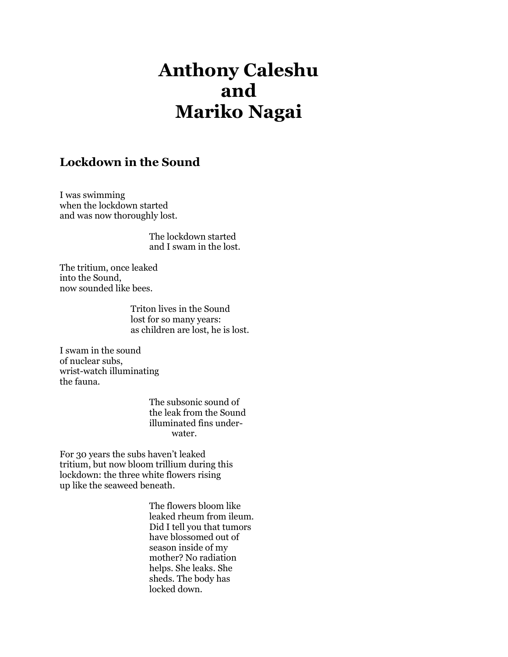## Anthony Caleshu and Mariko Nagai

## Lockdown in the Sound

I was swimming when the lockdown started and was now thoroughly lost.

> The lockdown started and I swam in the lost.

The tritium, once leaked into the Sound, now sounded like bees.

> Triton lives in the Sound lost for so many years: as children are lost, he is lost.

I swam in the sound of nuclear subs, wrist-watch illuminating the fauna.

> The subsonic sound of the leak from the Sound illuminated fins under water.

For 30 years the subs haven't leaked tritium, but now bloom trillium during this lockdown: the three white flowers rising up like the seaweed beneath.

> The flowers bloom like leaked rheum from ileum. Did I tell you that tumors have blossomed out of season inside of my mother? No radiation helps. She leaks. She sheds. The body has locked down.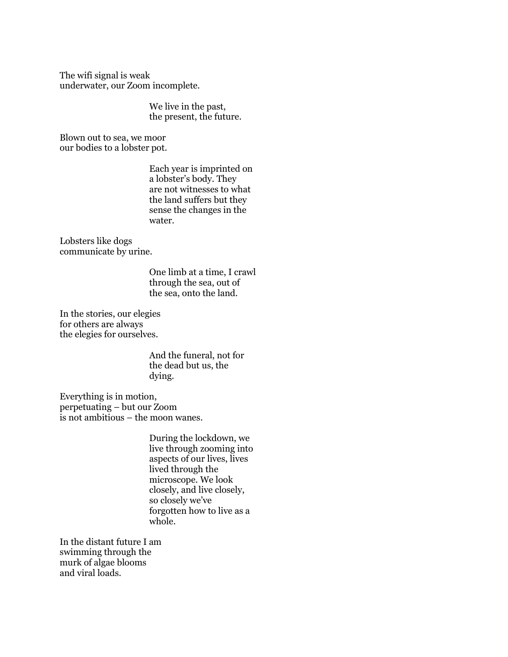The wifi signal is weak underwater, our Zoom incomplete.

> We live in the past, the present, the future.

Blown out to sea, we moor our bodies to a lobster pot.

> Each year is imprinted on a lobster's body. They are not witnesses to what the land suffers but they sense the changes in the water.

Lobsters like dogs communicate by urine.

> One limb at a time, I crawl through the sea, out of the sea, onto the land.

In the stories, our elegies for others are always the elegies for ourselves.

> And the funeral, not for the dead but us, the dying.

Everything is in motion, perpetuating – but our Zoom is not ambitious – the moon wanes.

> During the lockdown, we live through zooming into aspects of our lives, lives lived through the microscope. We look closely, and live closely, so closely we've forgotten how to live as a whole.

In the distant future I am swimming through the murk of algae blooms and viral loads.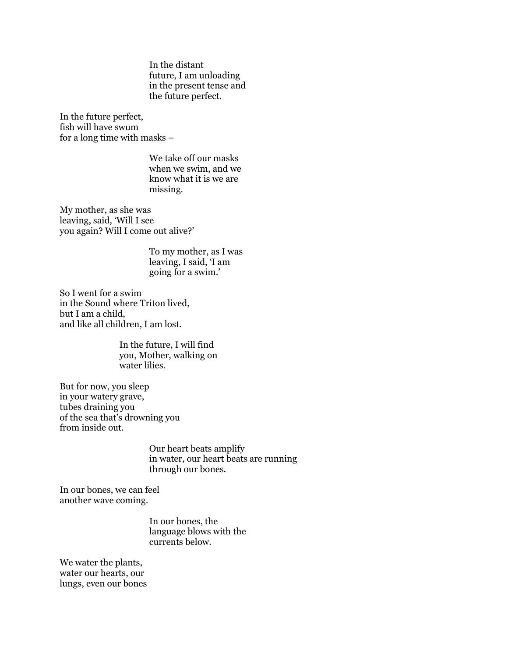In the distant future, I am unloading in the present tense and the future perfect.

In the future perfect, fish will have swum for a long time with masks –

> We take off our masks when we swim, and we know what it is we are missing.

My mother, as she was leaving, said, 'Will I see you again? Will I come out alive?'

> To my mother, as I was leaving, I said, 'I am going for a swim.'

So I went for a swim in the Sound where Triton lived, but I am a child, and like all children, I am lost.

> In the future, I will find you, Mother, walking on water lilies.

But for now, you sleep in your watery grave, tubes draining you of the sea that's drowning you from inside out.

> Our heart beats amplify in water, our heart beats are running through our bones.

In our bones, we can feel another wave coming.

> In our bones, the language blows with the currents below.

We water the plants, water our hearts, our lungs, even our bones